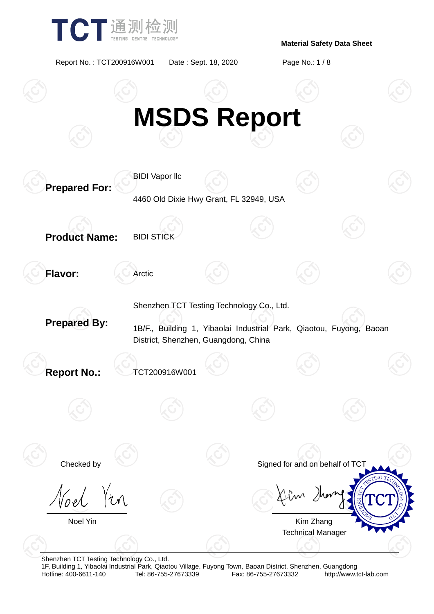

Report No. : TCT200916W001 Date : Sept. 18, 2020 Page No.: 1 / 8



Shenzhen TCT Testing Technology Co., Ltd. 1F, Building 1, Yibaolai Industrial Park, Qiaotou Village, Fuyong Town, Baoan District, Shenzhen, Guangdong Fax: 86-755-27673332 http://www.tct-lab.com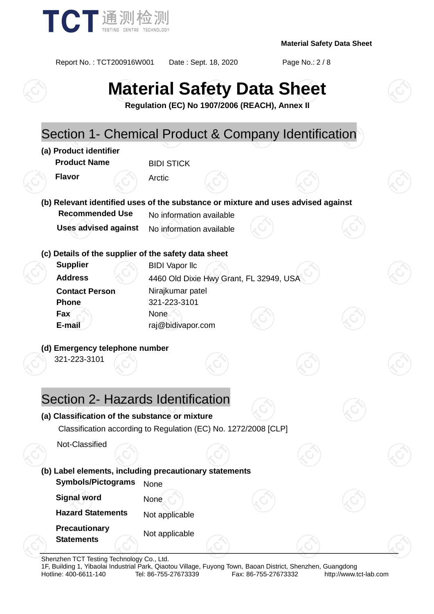

Report No. : TCT200916W001 Date : Sept. 18, 2020 Page No.: 2 / 8

# **Material Safety Data Sheet**

**Regulation (EC) No 1907/2006 (REACH), Annex II**

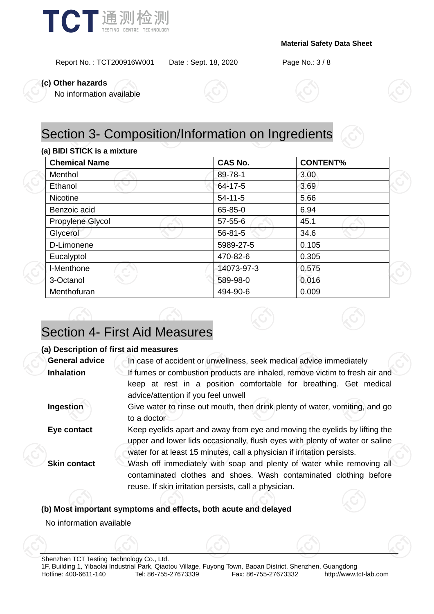

Report No. : TCT200916W001 Date : Sept. 18, 2020 Page No.: 3 / 8

**(c) Other hazards**

No information available





#### **(a) BIDI STICK is a mixture**

| <b>Chemical Name</b> | <b>CAS No.</b> | <b>CONTENT%</b> |
|----------------------|----------------|-----------------|
| Menthol              | 89-78-1        | 3.00            |
| Ethanol              | 64-17-5        | 3.69            |
| <b>Nicotine</b>      | $54 - 11 - 5$  | 5.66            |
| Benzoic acid         | 65-85-0        | 6.94            |
| Propylene Glycol     | $57 - 55 - 6$  | 45.1            |
| Glycerol             | $56 - 81 - 5$  | 34.6            |
| D-Limonene           | 5989-27-5      | 0.105           |
| Eucalyptol           | 470-82-6       | 0.305           |
| I-Menthone           | 14073-97-3     | 0.575           |
| 3-Octanol            | 589-98-0       | 0.016           |
| Menthofuran          | 494-90-6       | 0.009           |

### Section 4- First Aid Measures

#### **(a) Description of first aid measures**

| <b>General advice</b> | In case of accident or unwellness, seek medical advice immediately                                                                                                                                                                    |  |  |  |
|-----------------------|---------------------------------------------------------------------------------------------------------------------------------------------------------------------------------------------------------------------------------------|--|--|--|
| <b>Inhalation</b>     | If fumes or combustion products are inhaled, remove victim to fresh air and<br>keep at rest in a position comfortable for breathing. Get medical<br>advice/attention if you feel unwell                                               |  |  |  |
| Ingestion             | Give water to rinse out mouth, then drink plenty of water, vomiting, and go<br>to a doctor                                                                                                                                            |  |  |  |
| Eye contact           | Keep eyelids apart and away from eye and moving the eyelids by lifting the<br>upper and lower lids occasionally, flush eyes with plenty of water or saline<br>water for at least 15 minutes, call a physician if irritation persists. |  |  |  |
| <b>Skin contact</b>   | Wash off immediately with soap and plenty of water while removing all<br>contaminated clothes and shoes. Wash contaminated clothing before<br>reuse. If skin irritation persists, call a physician.                                   |  |  |  |
|                       |                                                                                                                                                                                                                                       |  |  |  |

#### **(b) Most important symptoms and effects, both acute and delayed**

No information available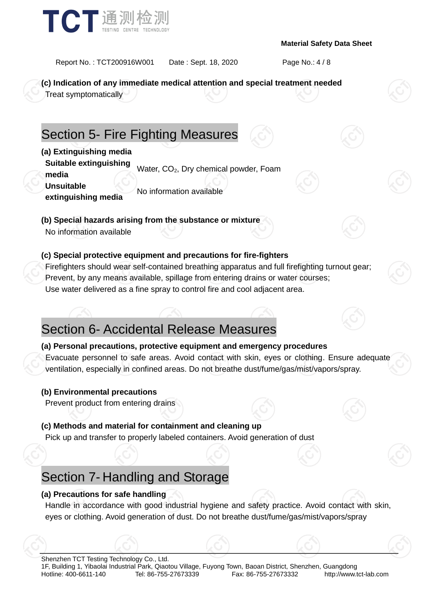

Report No. : TCT200916W001 Date : Sept. 18, 2020 Page No.: 4 / 8

**(c) Indication of any immediate medical attention and special treatment needed**

Treat symptomatically

### Section 5- Fire Fighting Measures

**(a) Extinguishing media**

**Suitable extinguishing media** water, CO<sub>2</sub>, Dry chemical powder, Foam

**Unsuitable** 

**extinguishing media** No information available

**(b) Special hazards arising from the substance or mixture**

No information available

#### **(c) Special protective equipment and precautions for fire-fighters**

Firefighters should wear self-contained breathing apparatus and full firefighting turnout gear; Prevent, by any means available, spillage from entering drains or water courses; Use water delivered as a fine spray to control fire and cool adjacent area.

### Section 6- Accidental Release Measures

**(a) Personal precautions, protective equipment and emergency procedures** Evacuate personnel to safe areas. Avoid contact with skin, eyes or clothing. Ensure adequate ventilation, especially in confined areas. Do not breathe dust/fume/gas/mist/vapors/spray.

#### **(b) Environmental precautions**

Prevent product from entering drains

#### **(c) Methods and material for containment and cleaning up**

Pick up and transfer to properly labeled containers. Avoid generation of dust

### Section 7- Handling and Storage

#### **(a) Precautions for safe handling**

Handle in accordance with good industrial hygiene and safety practice. Avoid contact with skin, eyes or clothing. Avoid generation of dust. Do not breathe dust/fume/gas/mist/vapors/spray

Shenzhen TCT Testing Technology Co., Ltd.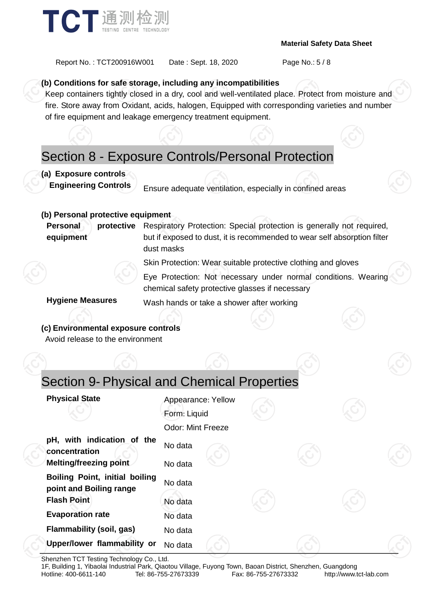

Report No.: TCT200916W001 Date: Sept. 18, 2020 Page No.: 5 / 8

#### **(b) Conditions for safe storage, including any incompatibilities**

Keep containers tightly closed in a dry, cool and well-ventilated place. Protect from moisture and fire. Store away from Oxidant, acids, halogen, Equipped with corresponding varieties and number of fire equipment and leakage emergency treatment equipment.

### Section 8 - Exposure Controls/Personal Protection

#### **(a) Exposure controls**

**Engineering Controls** Ensure adequate ventilation, especially in confined areas

#### **(b) Personal protective equipment**

**Personal protective equipment** Respiratory Protection: Special protection is generally not required, but if exposed to dust, it is recommended to wear self absorption filter dust masks

Skin Protection: Wear suitable protective clothing and gloves

Eye Protection: Not necessary under normal conditions. Wearing chemical safety protective glasses if necessary

**Hygiene Measures** Wash hands or take a shower after working

### **(c) Environmental exposure controls**

Avoid release to the environment

### Section 9- Physical and Chemical Properties

| <b>Physical State</b>                                                           | Appearance: Yellow<br>Form: Liquid<br><b>Odor: Mint Freeze</b> |  |  |
|---------------------------------------------------------------------------------|----------------------------------------------------------------|--|--|
| pH, with indication of the<br>concentration<br>Melting/freezing point           | No data<br>No data                                             |  |  |
| Boiling Point, initial boiling<br>point and Boiling range<br><b>Flash Point</b> | No data<br>No data                                             |  |  |
| <b>Evaporation rate</b>                                                         | No data                                                        |  |  |
| Flammability (soil, gas)<br>Upper/lower flammability or                         | No data<br>No data                                             |  |  |

Shenzhen TCT Testing Technology Co., Ltd.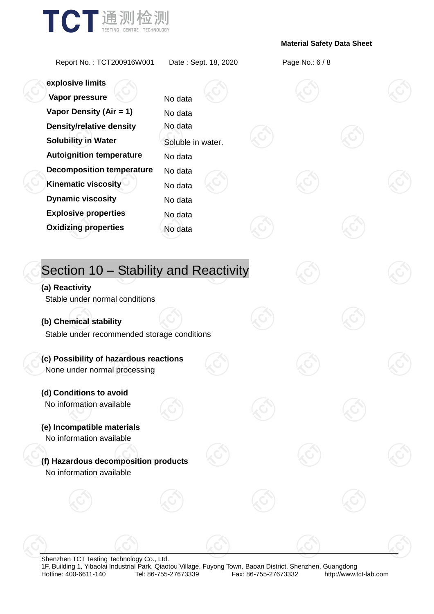

Report No. : TCT200916W001 Date : Sept. 18, 2020 Page No.: 6 / 8

**explosive limits Vapor pressure** No data **Vapor Density (Air = 1)** No data

## **Density/relative density** No data **Solubility in Water** Soluble in water. **Autoignition temperature** No data **Decomposition temperature** No data **Kinematic viscosity** Allow No data **Dynamic viscosity** No data **Explosive properties** No data **Oxidizing properties** No data Section 10 – Stability and Reactivity **(a) Reactivity** Stable under normal conditions **(b) Chemical stability** Stable under recommended storage conditions **(c) Possibility of hazardous reactions** None under normal processing **(d) Conditions to avoid** No information available **(e) Incompatible materials** No information available **(f) Hazardous decomposition products** No information available

Shenzhen TCT Testing Technology Co., Ltd. 1F, Building 1, Yibaolai Industrial Park, Qiaotou Village, Fuyong Town, Baoan District, Shenzhen, Guangdong Fax: 86-755-27673332 http://www.tct-lab.com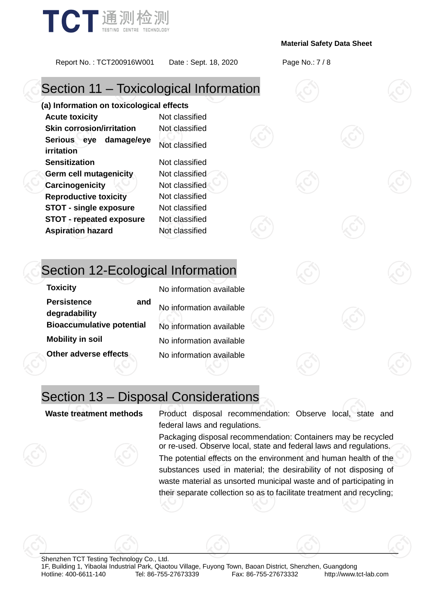

Report No. : TCT200916W001 Date : Sept. 18, 2020 Page No.: 7 / 8

### Section 11 – Toxicological Information

**(a) Information on toxicological effects Acute toxicity** Not classified **Skin corrosion/irritation** Not classified **Serious eye damage/eye irritation** Not classified **Sensitization** Not classified **Germ cell mutagenicity** Not classified **Carcinogenicity Not classified Reproductive toxicity** Not classified **STOT - single exposure** Not classified **STOT - repeated exposure** Not classified **Aspiration hazard** Not classified

### Section 12-Ecological Information

| <b>Toxicity</b>                            | No information available |
|--------------------------------------------|--------------------------|
| <b>Persistence</b><br>and<br>degradability | No information available |
| <b>Bioaccumulative potential</b>           | No information available |
| <b>Mobility in soil</b>                    | No information available |
| Other adverse effects                      | No information available |

### Section 13 – Disposal Considerations

**Waste treatment methods** Product disposal recommendation: Observe local, state and federal laws and regulations.

> Packaging disposal recommendation: Containers may be recycled or re-used. Observe local, state and federal laws and regulations.

> The potential effects on the environment and human health of the substances used in material; the desirability of not disposing of waste material as unsorted municipal waste and of participating in their separate collection so as to facilitate treatment and recycling;

Shenzhen TCT Testing Technology Co., Ltd. 1F, Building 1, Yibaolai Industrial Park, Qiaotou Village, Fuyong Town, Baoan District, Shenzhen, Guangdong http://www.tct-lab.com